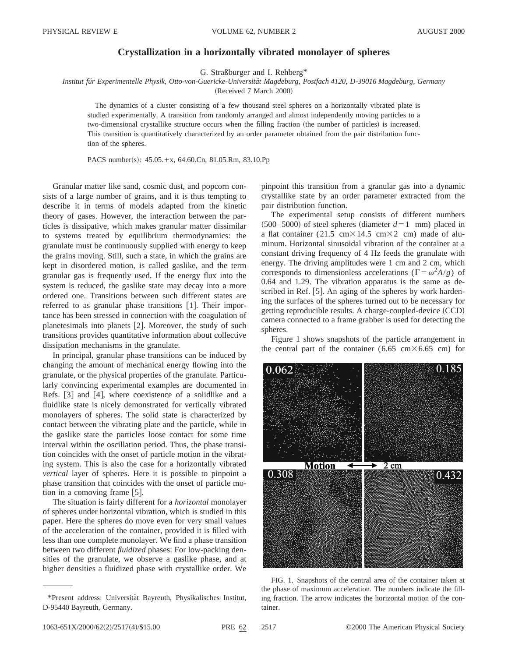## **Crystallization in a horizontally vibrated monolayer of spheres**

G. Straßburger and I. Rehberg\*

*Institut fu¨r Experimentelle Physik, Otto-von-Guericke-Universita¨t Magdeburg, Postfach 4120, D-39016 Magdeburg, Germany*

(Received 7 March 2000)

The dynamics of a cluster consisting of a few thousand steel spheres on a horizontally vibrated plate is studied experimentally. A transition from randomly arranged and almost independently moving particles to a two-dimensional crystallike structure occurs when the filling fraction (the number of particles) is increased. This transition is quantitatively characterized by an order parameter obtained from the pair distribution function of the spheres.

PACS number(s): 45.05.+x, 64.60.Cn, 81.05.Rm, 83.10.Pp

Granular matter like sand, cosmic dust, and popcorn consists of a large number of grains, and it is thus tempting to describe it in terms of models adapted from the kinetic theory of gases. However, the interaction between the particles is dissipative, which makes granular matter dissimilar to systems treated by equilibrium thermodynamics: the granulate must be continuously supplied with energy to keep the grains moving. Still, such a state, in which the grains are kept in disordered motion, is called gaslike, and the term granular gas is frequently used. If the energy flux into the system is reduced, the gaslike state may decay into a more ordered one. Transitions between such different states are referred to as granular phase transitions  $[1]$ . Their importance has been stressed in connection with the coagulation of planetesimals into planets  $[2]$ . Moreover, the study of such transitions provides quantitative information about collective dissipation mechanisms in the granulate.

In principal, granular phase transitions can be induced by changing the amount of mechanical energy flowing into the granulate, or the physical properties of the granulate. Particularly convincing experimental examples are documented in Refs.  $[3]$  and  $[4]$ , where coexistence of a solidlike and a fluidlike state is nicely demonstrated for vertically vibrated monolayers of spheres. The solid state is characterized by contact between the vibrating plate and the particle, while in the gaslike state the particles loose contact for some time interval within the oscillation period. Thus, the phase transition coincides with the onset of particle motion in the vibrating system. This is also the case for a horizontally vibrated *vertical* layer of spheres. Here it is possible to pinpoint a phase transition that coincides with the onset of particle motion in a comoving frame  $[5]$ .

The situation is fairly different for a *horizontal* monolayer of spheres under horizontal vibration, which is studied in this paper. Here the spheres do move even for very small values of the acceleration of the container, provided it is filled with less than one complete monolayer. We find a phase transition between two different *fluidized* phases: For low-packing densities of the granulate, we observe a gaslike phase, and at higher densities a fluidized phase with crystallike order. We pinpoint this transition from a granular gas into a dynamic crystallike state by an order parameter extracted from the pair distribution function.

The experimental setup consists of different numbers  $(500–5000)$  of steel spheres (diameter  $d=1$  mm) placed in a flat container (21.5 cm $\times$ 14.5 cm $\times$ 2 cm) made of aluminum. Horizontal sinusoidal vibration of the container at a constant driving frequency of 4 Hz feeds the granulate with energy. The driving amplitudes were 1 cm and 2 cm, which corresponds to dimensionless accelerations ( $\Gamma = \omega^2 A/g$ ) of 0.64 and 1.29. The vibration apparatus is the same as described in Ref.  $[5]$ . An aging of the spheres by work hardening the surfaces of the spheres turned out to be necessary for getting reproducible results. A charge-coupled-device  $(CCD)$ camera connected to a frame grabber is used for detecting the spheres.

Figure 1 shows snapshots of the particle arrangement in the central part of the container (6.65 cm $\times$  6.65 cm) for



FIG. 1. Snapshots of the central area of the container taken at the phase of maximum acceleration. The numbers indicate the filling fraction. The arrow indicates the horizontal motion of the container.

<sup>\*</sup>Present address: Universita¨t Bayreuth, Physikalisches Institut, D-95440 Bayreuth, Germany.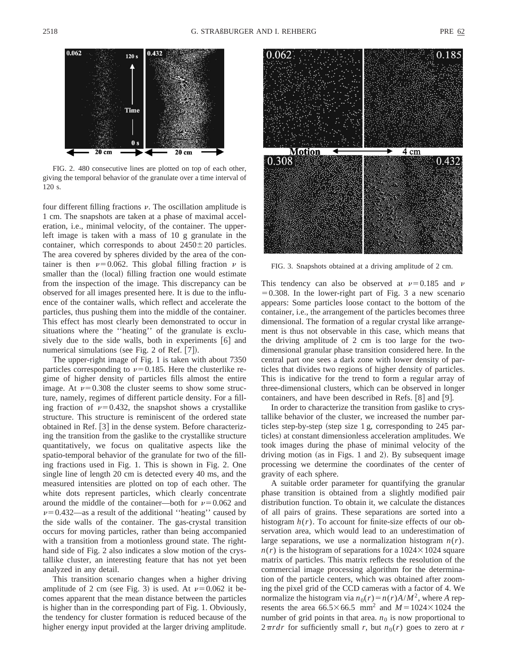

FIG. 2. 480 consecutive lines are plotted on top of each other, giving the temporal behavior of the granulate over a time interval of 120 s.

four different filling fractions  $\nu$ . The oscillation amplitude is 1 cm. The snapshots are taken at a phase of maximal acceleration, i.e., minimal velocity, of the container. The upperleft image is taken with a mass of 10 g granulate in the container, which corresponds to about  $2450 \pm 20$  particles. The area covered by spheres divided by the area of the container is then  $\nu=0.062$ . This global filling fraction  $\nu$  is smaller than the (local) filling fraction one would estimate from the inspection of the image. This discrepancy can be observed for all images presented here. It is due to the influence of the container walls, which reflect and accelerate the particles, thus pushing them into the middle of the container. This effect has most clearly been demonstrated to occur in situations where the ''heating'' of the granulate is exclusively due to the side walls, both in experiments  $[6]$  and numerical simulations (see Fig. 2 of Ref.  $[7]$ ).

The upper-right image of Fig. 1 is taken with about 7350 particles corresponding to  $\nu=0.185$ . Here the clusterlike regime of higher density of particles fills almost the entire image. At  $\nu$ =0.308 the cluster seems to show some structure, namely, regimes of different particle density. For a filling fraction of  $\nu=0.432$ , the snapshot shows a crystallike structure. This structure is reminiscent of the ordered state obtained in Ref.  $\lceil 3 \rceil$  in the dense system. Before characterizing the transition from the gaslike to the crystallike structure quantitatively, we focus on qualitative aspects like the spatio-temporal behavior of the granulate for two of the filling fractions used in Fig. 1. This is shown in Fig. 2. One single line of length 20 cm is detected every 40 ms, and the measured intensities are plotted on top of each other. The white dots represent particles, which clearly concentrate around the middle of the container—both for  $\nu=0.062$  and  $\nu$ =0.432—as a result of the additional "heating" caused by the side walls of the container. The gas-crystal transition occurs for moving particles, rather than being accompanied with a transition from a motionless ground state. The righthand side of Fig. 2 also indicates a slow motion of the crystallike cluster, an interesting feature that has not yet been analyzed in any detail.

This transition scenario changes when a higher driving amplitude of 2 cm (see Fig. 3) is used. At  $\nu$ =0.062 it becomes apparent that the mean distance between the particles is higher than in the corresponding part of Fig. 1. Obviously, the tendency for cluster formation is reduced because of the higher energy input provided at the larger driving amplitude.



FIG. 3. Snapshots obtained at a driving amplitude of 2 cm.

This tendency can also be observed at  $\nu=0.185$  and  $\nu$  $=0.308$ . In the lower-right part of Fig. 3 a new scenario appears: Some particles loose contact to the bottom of the container, i.e., the arrangement of the particles becomes three dimensional. The formation of a regular crystal like arrangement is thus not observable in this case, which means that the driving amplitude of 2 cm is too large for the twodimensional granular phase transition considered here. In the central part one sees a dark zone with lower density of particles that divides two regions of higher density of particles. This is indicative for the trend to form a regular array of three-dimensional clusters, which can be observed in longer containers, and have been described in Refs.  $|8|$  and  $|9|$ .

In order to characterize the transition from gaslike to crystallike behavior of the cluster, we increased the number particles step-by-step (step size 1 g, corresponding to  $245$  particles) at constant dimensionless acceleration amplitudes. We took images during the phase of minimal velocity of the driving motion (as in Figs. 1 and 2). By subsequent image processing we determine the coordinates of the center of gravity of each sphere.

A suitable order parameter for quantifying the granular phase transition is obtained from a slightly modified pair distribution function. To obtain it, we calculate the distances of all pairs of grains. These separations are sorted into a histogram  $h(r)$ . To account for finite-size effects of our observation area, which would lead to an underestimation of large separations, we use a normalization histogram *n*(*r*).  $n(r)$  is the histogram of separations for a 1024 $\times$ 1024 square matrix of particles. This matrix reflects the resolution of the commercial image processing algorithm for the determination of the particle centers, which was obtained after zooming the pixel grid of the CCD cameras with a factor of 4. We normalize the histogram via  $n_0(r) = n(r)A/M^2$ , where *A* represents the area  $66.5 \times 66.5$  mm<sup>2</sup> and  $M = 1024 \times 1024$  the number of grid points in that area.  $n_0$  is now proportional to  $2\pi r dr$  for sufficiently small *r*, but  $n_0(r)$  goes to zero at *r*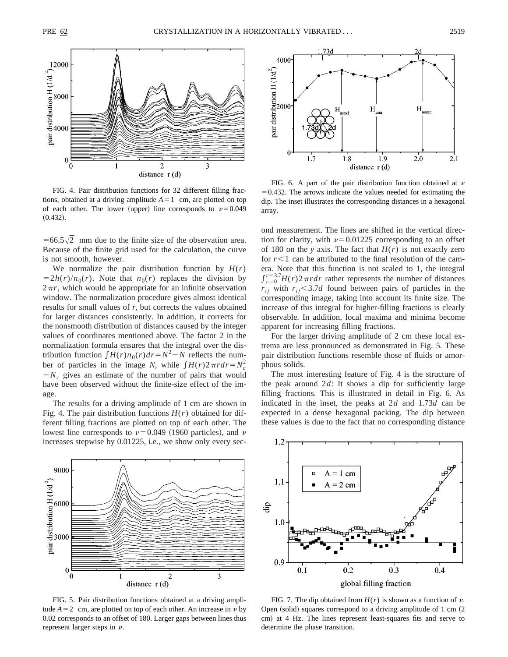

FIG. 4. Pair distribution functions for 32 different filling fractions, obtained at a driving amplitude  $A=1$  cm, are plotted on top of each other. The lower (upper) line corresponds to  $\nu=0.049$  $(0.432).$ 

 $=66.5\sqrt{2}$  mm due to the finite size of the observation area. Because of the finite grid used for the calculation, the curve is not smooth, however.

We normalize the pair distribution function by  $H(r)$  $=2h(r)/n_0(r)$ . Note that  $n_0(r)$  replaces the division by  $2\pi r$ , which would be appropriate for an infinite observation window. The normalization procedure gives almost identical results for small values of *r*, but corrects the values obtained for larger distances consistently. In addition, it corrects for the nonsmooth distribution of distances caused by the integer values of coordinates mentioned above. The factor 2 in the normalization formula ensures that the integral over the distribution function  $\int H(r)n_0(r)dr = N^2 - N$  reflects the number of particles in the image *N*, while  $\int H(r)2\pi r dr = N_c^2$  $-N_c$  gives an estimate of the number of pairs that would have been observed without the finite-size effect of the image.

The results for a driving amplitude of 1 cm are shown in Fig. 4. The pair distribution functions  $H(r)$  obtained for different filling fractions are plotted on top of each other. The lowest line corresponds to  $\nu$ =0.049 (1960 particles), and  $\nu$ increases stepwise by 0.01225, i.e., we show only every sec-



FIG. 5. Pair distribution functions obtained at a driving amplitude  $A=2$  cm, are plotted on top of each other. An increase in  $\nu$  by 0.02 corresponds to an offset of 180. Larger gaps between lines thus represent larger steps in  $\nu$ .



FIG. 6. A part of the pair distribution function obtained at  $\nu$  $=0.432$ . The arrows indicate the values needed for estimating the dip. The inset illustrates the corresponding distances in a hexagonal array.

ond measurement. The lines are shifted in the vertical direction for clarity, with  $\nu=0.01225$  corresponding to an offset of 180 on the *y* axis. The fact that  $H(r)$  is not exactly zero for  $r<1$  can be attributed to the final resolution of the camera. Note that this function is not scaled to 1, the integral  $\int_{r=0}^{r=3.7} H(r) 2 \pi r dr$  rather represents the number of distances  $r_{ij}$  with  $r_{ij}$  < 3.7*d* found between pairs of particles in the corresponding image, taking into account its finite size. The increase of this integral for higher-filling fractions is clearly observable. In addition, local maxima and minima become apparent for increasing filling fractions.

For the larger driving amplitude of 2 cm these local extrema are less pronounced as demonstrated in Fig. 5. These pair distribution functions resemble those of fluids or amorphous solids.

The most interesting feature of Fig. 4 is the structure of the peak around 2*d*: It shows a dip for sufficiently large filling fractions. This is illustrated in detail in Fig. 6. As indicated in the inset, the peaks at 2*d* and 1.73*d* can be expected in a dense hexagonal packing. The dip between these values is due to the fact that no corresponding distance



FIG. 7. The dip obtained from  $H(r)$  is shown as a function of  $\nu$ . Open (solid) squares correspond to a driving amplitude of 1 cm  $(2)$ cm) at 4 Hz. The lines represent least-squares fits and serve to determine the phase transition.